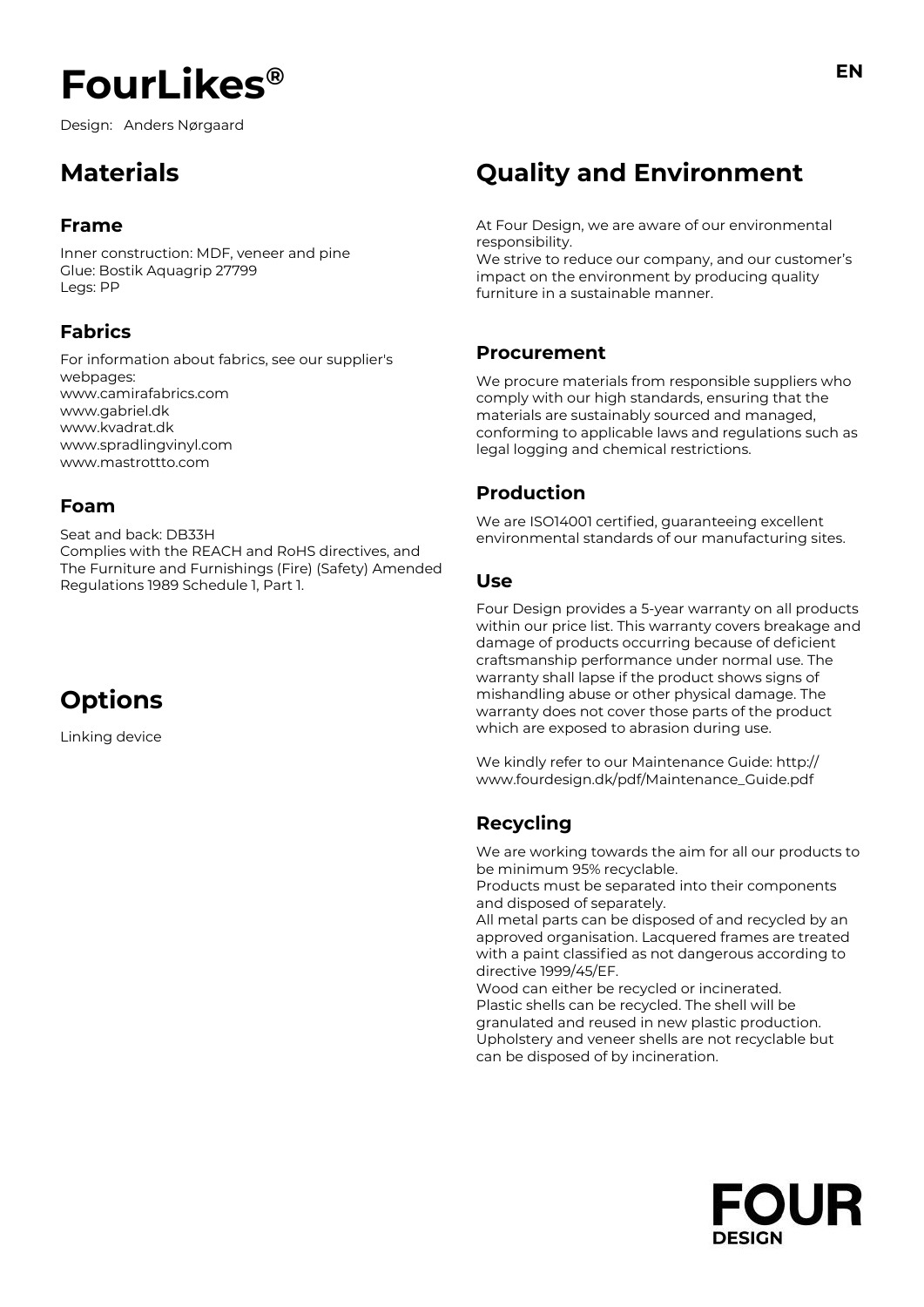Design: Anders Nørgaard

## **Materials**

## **Frame**

Inner construction: MDF, veneer and pine Glue: Bostik Aquagrip 27799 Legs: PP

## **Fabrics**

For information about fabrics, see our supplier's webpages: www.camirafabrics.com www.gabriel.dk www.kvadrat.dk www.spradlingvinyl.com www.mastrottto.com

### **Foam**

Seat and back: DB33H Complies with the REACH and RoHS directives, and The Furniture and Furnishings (Fire) (Safety) Amended Regulations 1989 Schedule 1, Part 1.

## **Options**

Linking device

## **Quality and Environment**

At Four Design, we are aware of our environmental responsibility.

We strive to reduce our company, and our customer's impact on the environment by producing quality furniture in a sustainable manner.

### **Procurement**

We procure materials from responsible suppliers who comply with our high standards, ensuring that the materials are sustainably sourced and managed, conforming to applicable laws and regulations such as legal logging and chemical restrictions.

## **Production**

We are ISO14001 certified, quaranteeing excellent environmental standards of our manufacturing sites.

### **Use**

Four Design provides a 5-year warranty on all products within our price list. This warranty covers breakage and damage of products occurring because of deficient craftsmanship performance under normal use. The warranty shall lapse if the product shows signs of mishandling abuse or other physical damage. The warranty does not cover those parts of the product which are exposed to abrasion during use.

We kindly refer to our Maintenance Guide: http:// www.fourdesign.dk/pdf/Maintenance\_Guide.pdf

## **Recycling**

We are working towards the aim for all our products to be minimum 95% recyclable.

Products must be separated into their components and disposed of separately.

All metal parts can be disposed of and recycled by an approved organisation. Lacquered frames are treated with a paint classified as not dangerous according to directive 1999/45/EF.

Wood can either be recycled or incinerated. Plastic shells can be recycled. The shell will be granulated and reused in new plastic production. Upholstery and veneer shells are not recyclable but can be disposed of by incineration.

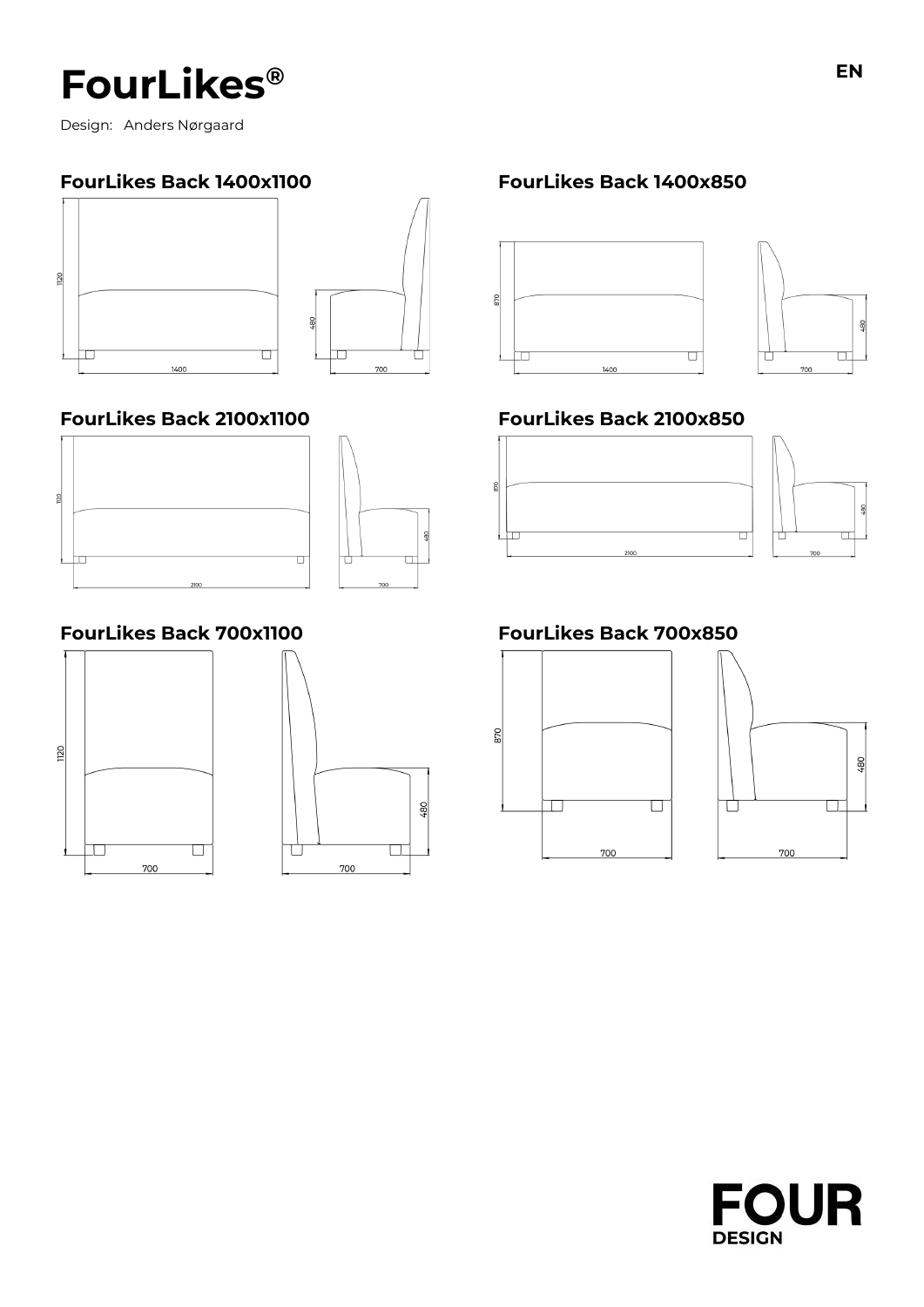Design: Anders Nørgaard

## **FourLikes Back 1400x1100 FourLikes Back 1400x850**



## **FourLikes Back 2100x1100 FourLikes Back 2100x850**





## **FourLikes Back 700x1100 FourLikes Back 700x850**









œ





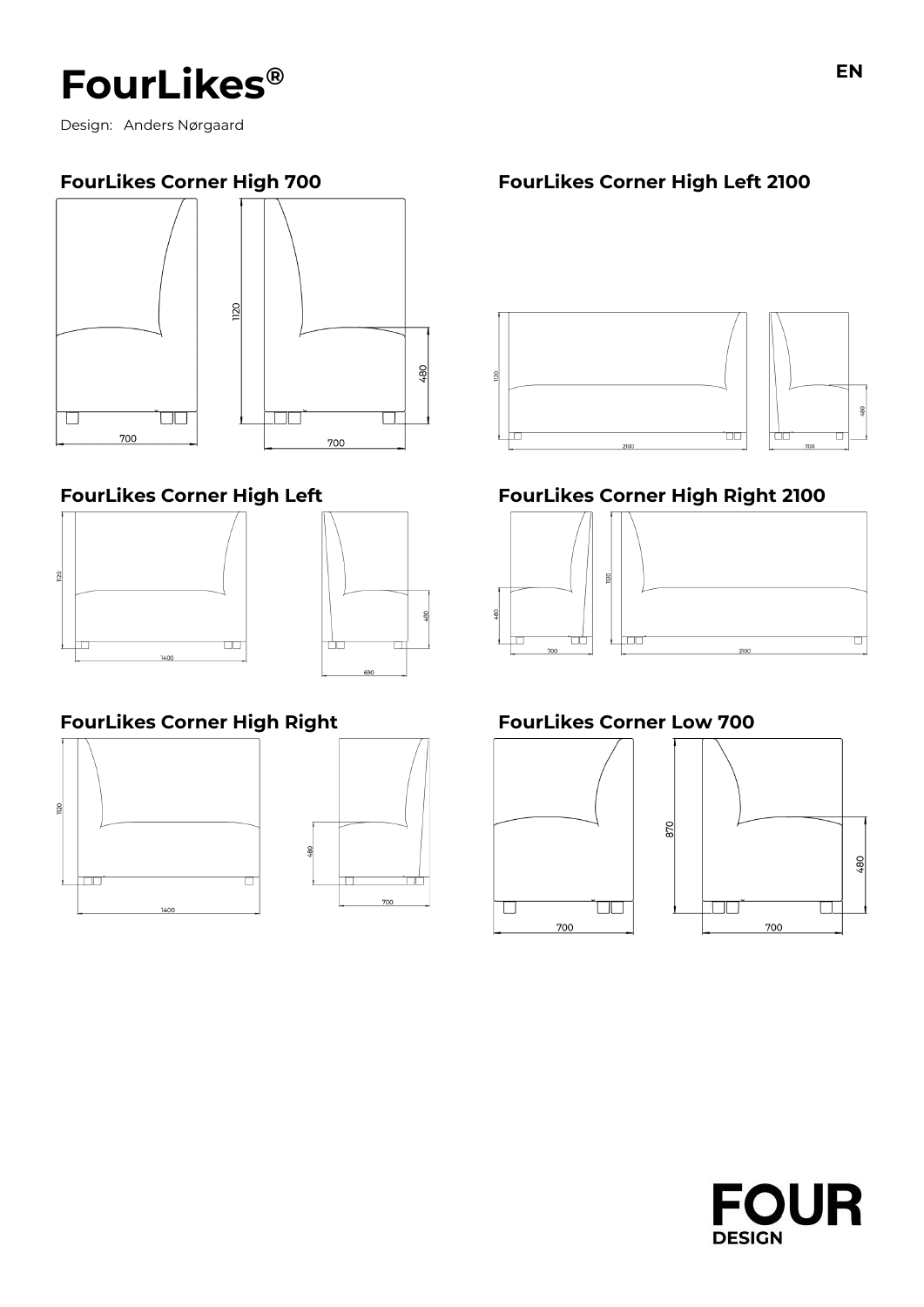Design: Anders Nørgaard







## **FourLikes Corner High Right FourLikes Corner Low 700**





## **FourLikes Corner High 700 FourLikes Corner High Left 2100**



## **FourLikes Corner High Left FourLikes Corner High Right 2100**





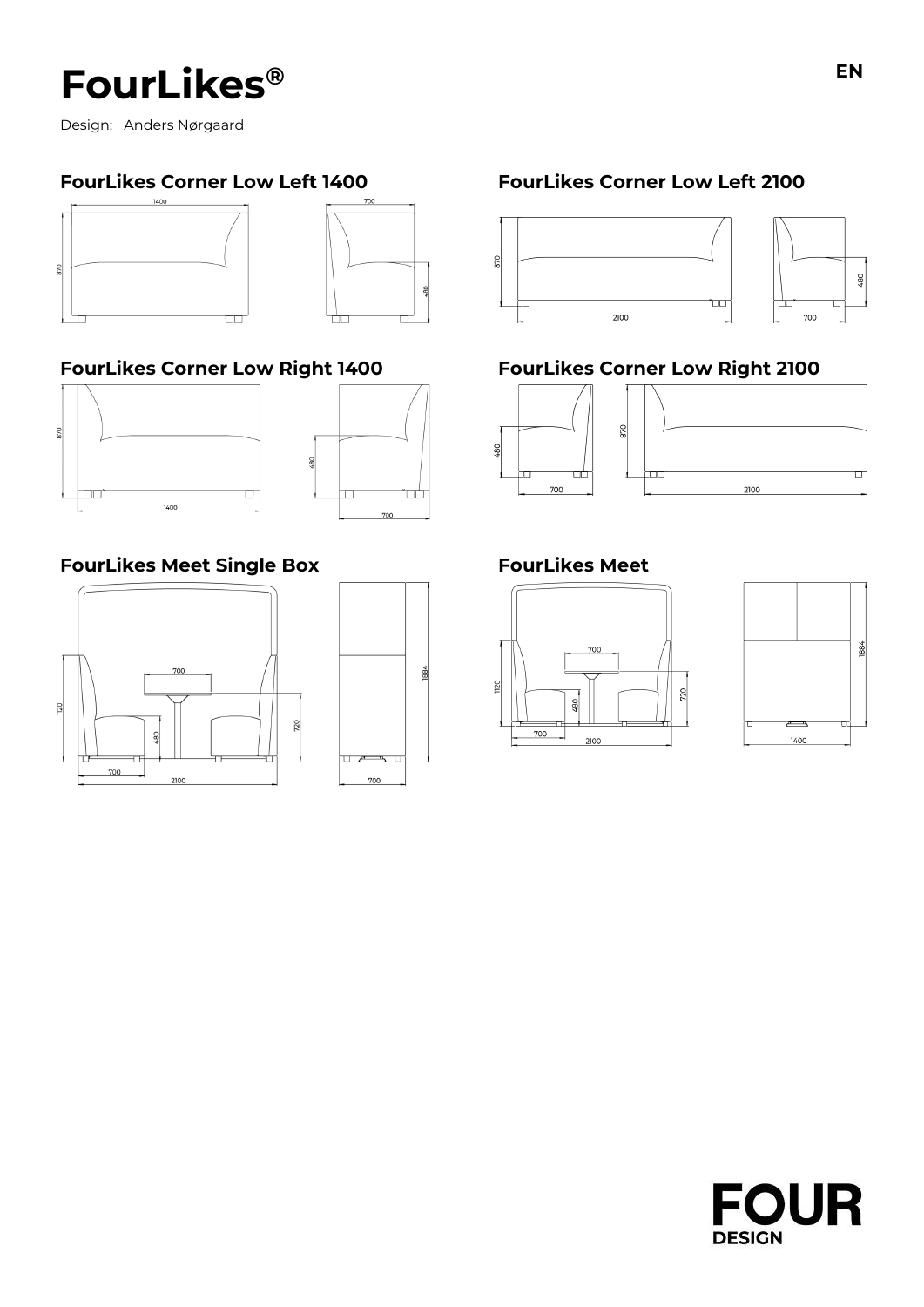Design: Anders Nørgaard



## **FourLikes Corner Low Right 1400 FourLikes Corner Low Right 2100**





 $\frac{80}{2}$ 

884

## **FourLikes Meet Single Box FourLikes Meet**



## **FourLikes Corner Low Left 1400 FourLikes Corner Low Left 2100**









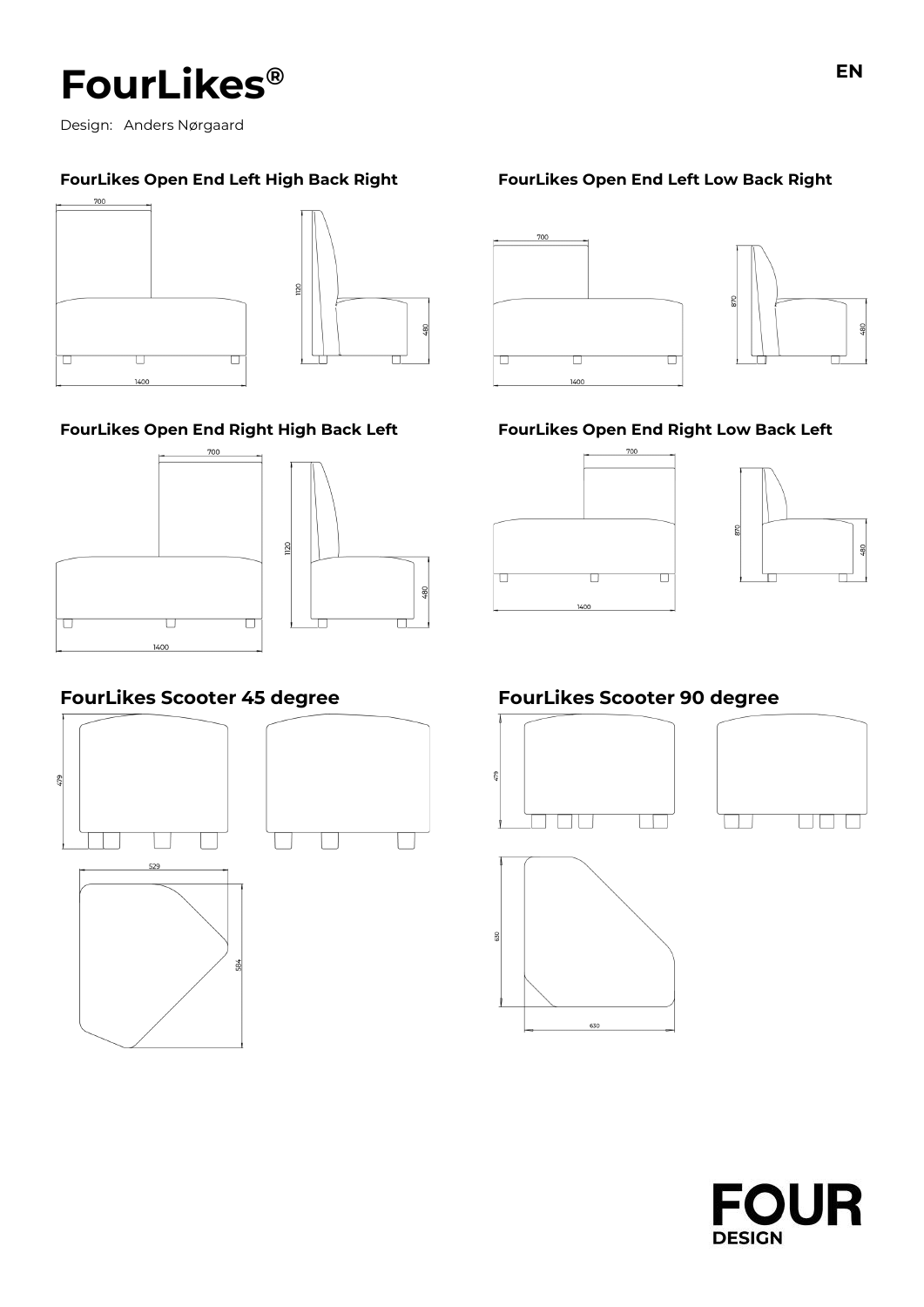

Design: Anders Nørgaard

### **FourLikes Open End Left High Back Right FourLikes Open End Left Low Back Right**



### **FourLikes Open End Right High Back Left FourLikes Open End Right Low Back Left**









GB

 $\frac{8}{9}$ 



## **FourLikes Scooter 45 degree FourLikes Scooter 90 degree**







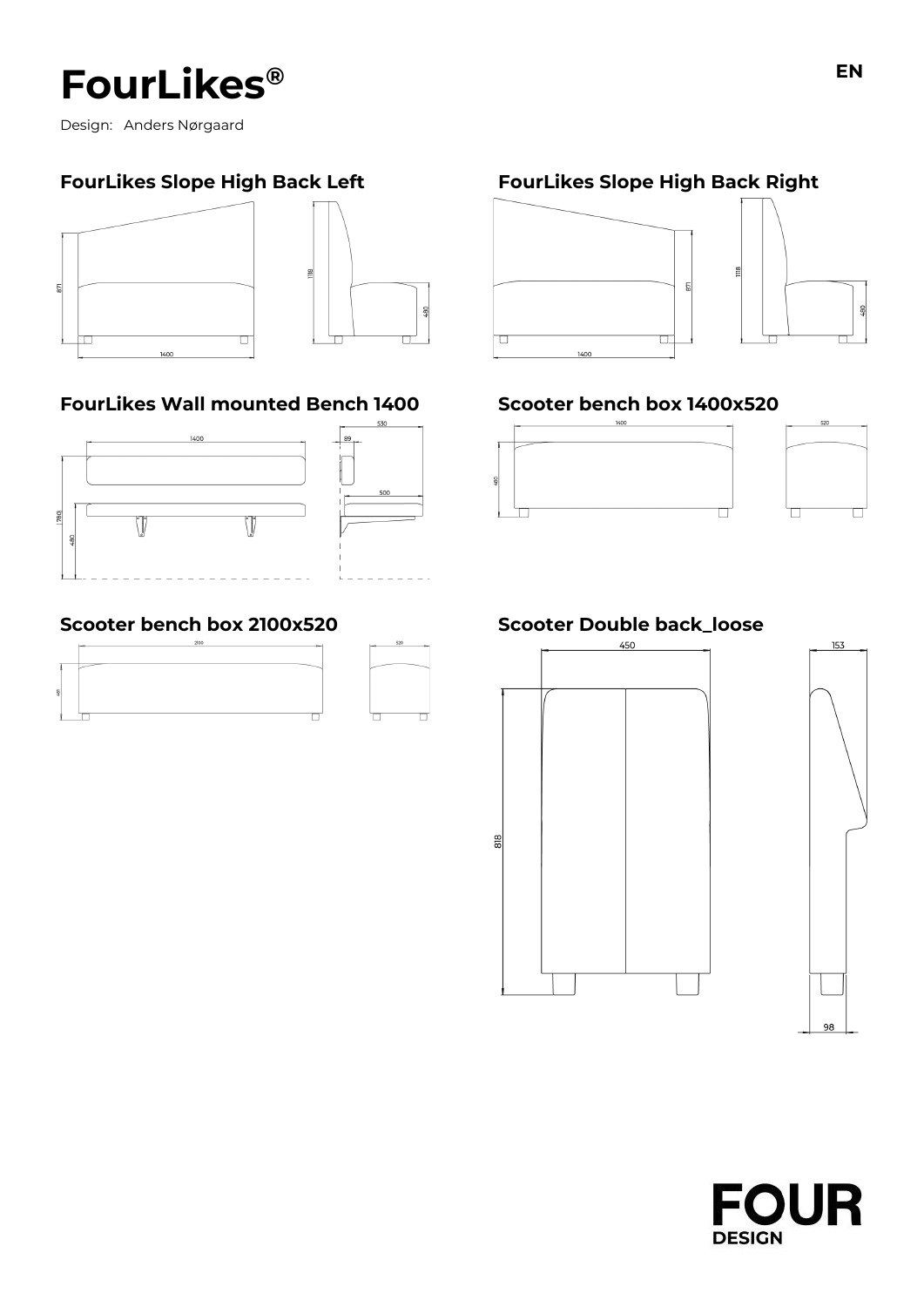Design: Anders Nørgaard

## **FourLikes Slope High Back Left FourLikes Slope High Back Right**



## **FourLikes Wall mounted Bench 1400 Scooter bench box 1400x520**



## **Scooter bench box 2100x520 Scooter Double back\_loose**













 $\frac{8}{2}$